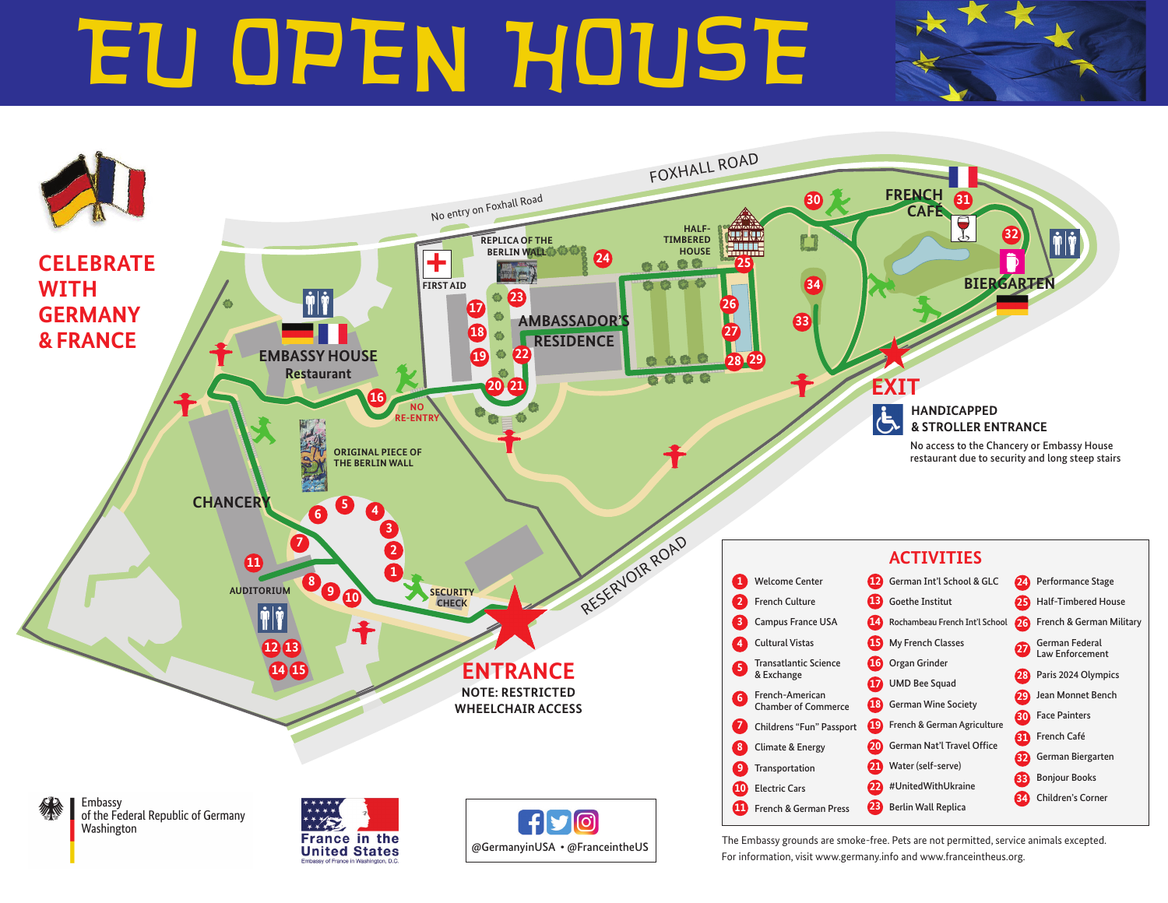# EU OPEN HOUSE EU OPEN HOUSE